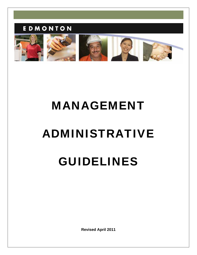### EDMONTON



# MANAGEMENT

## ADMINISTRATIVE

## GUIDELINES

**Revised April 2011**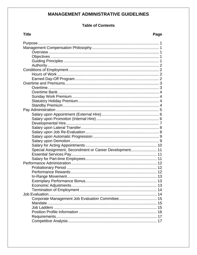#### **MANAGEMENT ADMINISTRATIVE GUIDELINES**

#### **Table of Contents**

| <b>Title</b><br>Page                                    |  |
|---------------------------------------------------------|--|
|                                                         |  |
|                                                         |  |
|                                                         |  |
|                                                         |  |
|                                                         |  |
|                                                         |  |
|                                                         |  |
|                                                         |  |
|                                                         |  |
|                                                         |  |
|                                                         |  |
|                                                         |  |
|                                                         |  |
|                                                         |  |
|                                                         |  |
|                                                         |  |
|                                                         |  |
|                                                         |  |
|                                                         |  |
|                                                         |  |
|                                                         |  |
|                                                         |  |
|                                                         |  |
|                                                         |  |
| Special Assignment, Secondment or Career Development 11 |  |
|                                                         |  |
|                                                         |  |
|                                                         |  |
|                                                         |  |
|                                                         |  |
|                                                         |  |
|                                                         |  |
|                                                         |  |
|                                                         |  |
| 14                                                      |  |
|                                                         |  |
|                                                         |  |
| 15                                                      |  |
|                                                         |  |
|                                                         |  |
|                                                         |  |

#### Page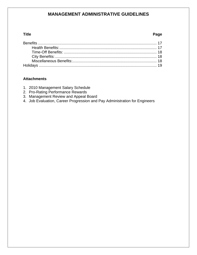#### **MANAGEMENT ADMINISTRATIVE GUIDELINES**

#### **Title Page**

#### **Attachments**

- 1. 2010 Management Salary Schedule
- 2. Pro-Rating Performance Rewards
- 3. Management Review and Appeal Board
- 4. Job Evaluation, Career Progression and Pay Administration for Engineers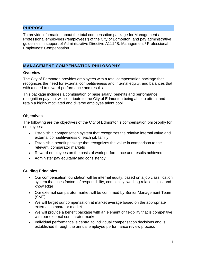#### <span id="page-3-0"></span>PURPOSE

To provide information about the total compensation package for Management / Professional employees ("employees") of the City of Edmonton, and pay administrative guidelines in support of Administrative Directive A1114B: Management / Professional Employees' Compensation.

#### <span id="page-3-1"></span>MANAGEMENT COMPENSATION PHILOSOPHY

#### <span id="page-3-2"></span>**Overview**

The City of Edmonton provides employees with a total compensation package that recognizes the need for external competitiveness and internal equity, and balances that with a need to reward performance and results.

This package includes a combination of base salary, benefits and performance recognition pay that will contribute to the City of Edmonton being able to attract and retain a highly motivated and diverse employee talent pool.

#### <span id="page-3-3"></span>**Objectives**

The following are the objectives of the City of Edmonton's compensation philosophy for employees:

- Establish a compensation system that recognizes the relative internal value and external competitiveness of each job family
- Establish a benefit package that recognizes the value in comparison to the relevant comparator markets
- Reward employees on the basis of work performance and results achieved
- Administer pay equitably and consistently

#### <span id="page-3-4"></span>**Guiding Principles**

- Our compensation foundation will be internal equity, based on a job classification system that uses factors of responsibility, complexity, working relationships, and knowledge
- Our external comparator market will be confirmed by Senior Management Team (SMT)
- We will target our compensation at market average based on the appropriate external comparator market
- We will provide a benefit package with an element of flexibility that is competitive with our external comparator market
- Individual performance is central to individual compensation decisions and is established through the annual employee performance review process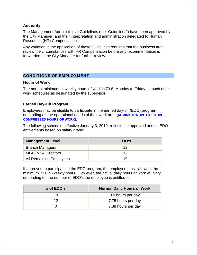#### <span id="page-4-0"></span>**Authority**

The Management Administrative Guidelines (the "Guidelines") have been approved by the City Manager, and their interpretation and administration delegated to Human Resources (HR) Compensation.

Any variation in the application of these Guidelines requires that the business area review the circumstances with HR Compensation before any recommendation is forwarded to the City Manager for further review.

#### <span id="page-4-1"></span>CONDITIONS OF EMPLOYMENT

#### <span id="page-4-2"></span>**Hours of Work**

The normal minimum bi-weekly hours of work is 73.8, Monday to Friday, or such other work schedules as designated by the supervisor.

#### <span id="page-4-3"></span>**Earned Day-Off Program**

Employees may be eligible to participate in the earned day-off (EDO) program depending on the operational needs of their work area **[\(ADMINISTRATIVE DIRECTIVE –](http://www.edmonton.ca/city_government/policies_directives/administrative-directives-a-c.aspx) [COMPRESSED HOURS OF WORK\)](http://www.edmonton.ca/city_government/policies_directives/administrative-directives-a-c.aspx)**.

The following schedule, effective January 3, 2010, reflects the approved annual EDO entitlements based on salary grade:

| <b>Management Level</b> | EDO's |
|-------------------------|-------|
| <b>Branch Managers</b>  |       |
| ML4 / MS4 Directors     | 12    |
| All Remaining Employees | 1 Q   |

If approved to participate in the EDO program, the employee must still work the minimum 73.8 bi-weekly hours. However, the actual daily hours of work will vary depending on the number of EDO's the employee is entitled to:

| # of $EDO's$ | <b>Normal Daily Hours of Work</b> |
|--------------|-----------------------------------|
| 19           | 8.0 hours per day                 |
| ィク           | 7.75 hours per day                |
|              | 7.38 hours per day                |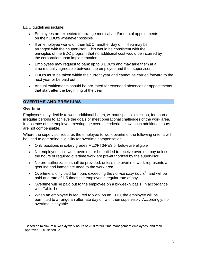EDO guidelines include:

- Employees are expected to arrange medical and/or dental appointments on their EDO's whenever possible
- If an employee works on their EDO, another day off in-lieu may be arranged with their supervisor. This would be consistent with the principles of the EDO program that no additional cost would be incurred by the corporation upon implementation
- Employees may request to bank up to 3 EDO's and may take them at a time mutually agreeable between the employee and their supervisor
- EDO's must be taken within the current year and cannot be carried forward to the next year or be paid out
- Annual entitlements should be pro-rated for extended absences or appointments that start after the beginning of the year

#### <span id="page-5-0"></span>OVERTIME AND PREMIUMS

#### <span id="page-5-1"></span>**Overtime**

 $\overline{a}$ 

Employees may decide to work additional hours, without specific direction, for short or irregular periods to achieve the goals or meet operational challenges of the work area. In absence of the employee meeting the overtime criteria below, such additional hours are not compensable.

Where the supervisor requires the employee to work overtime, the following criteria will be used to determine eligibility for overtime compensation:

- Only positions in salary grades ML2/PT3/PE3 or below are eligible
- No employee shall work overtime or be entitled to receive overtime pay unless the hours of required overtime work are pre-authorized by the supervisor
- No pre-authorization shall be provided, unless the overtime work represents a genuine and immediate need to the work area
- Overtime is only paid for hours exceeding the *normal daily hours*<sup>[1](#page-5-2)</sup>, and will be paid at a rate of 1.5 times the employee's regular rate of pay
- Overtime will be paid out to the employee on a bi-weekly basis (in accordance with Table 1)
- When an employee is required to work on an EDO, the employee will be permitted to arrange an alternate day off with their supervisor. Accordingly, no overtime is payable

<span id="page-5-2"></span> $1$  Based on minimum bi-weekly work hours of 73.8 for full-time management employees, and their approved EDO schedule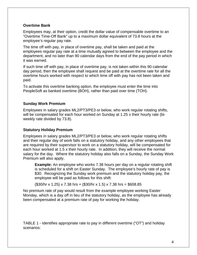#### <span id="page-6-0"></span>**Overtime Bank**

Employees may, at their option, credit the dollar value of compensable overtime to an "Overtime Time-Off Bank" up to a maximum dollar equivalent of 73.8 hours at the employee's regular pay rate.

The time off with pay, in place of overtime pay, shall be taken and paid at the employees regular pay rate at a time mutually agreed to between the employee and the department, and no later than 90 calendar days from the end of the pay period in which it was earned.

If such time off with pay, in place of overtime pay, is not taken within this 90 calendar day period, then the employee shall request and be paid at the overtime rate for all the overtime hours worked with respect to which time off with pay has not been taken and paid.

To activate this overtime banking option, the employee must enter the time into PeopleSoft as banked overtime (BOH), rather than paid over time (TOH).

#### <span id="page-6-1"></span>**Sunday Work Premium**

Employees in salary grades ML2/PT3/PE3 or below, who work regular rotating shifts, will be compensated for each hour worked on Sunday at 1.25 x their hourly rate (biweekly rate divided by 73.8).

#### <span id="page-6-2"></span>**Statutory Holiday Premium**

Employees in salary grades ML2/PT3/PE3 or below, who work regular rotating shifts and their regular day of work falls on a statutory holiday, and any other employees that are required by their supervisor to work on a statutory holiday, will be compensated for each hour worked at 1.5 x their hourly rate. In addition, they will receive the normal salary for the day. Where the statutory holiday also falls on a Sunday, the Sunday Work Premium will also apply.

**Example:** An employee who works 7.38 hours per day on a regular rotating shift is scheduled for a shift on Easter Sunday. The employee's hourly rate of pay is \$30. Recognizing the Sunday work premium and the statutory holiday pay, the employee will be paid as follows for this shift:

(\$30/hr x 1.25) x 7.38 hrs + (\$30/hr x 1.5) x 7.38 hrs = \$608.85

No premium rate of pay would result from the example employee working Easter Monday, which is a day off in lieu of the statutory holiday, as the employee has already been compensated at a premium rate of pay for working the holiday.

TABLE 1 - Identifies appropriate rate to pay in different overtime ("OT") and holiday scenarios: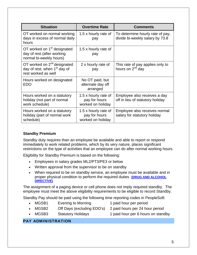| <b>Situation</b>                                                                                           | <b>Overtime Rate</b>                                       | <b>Comments</b>                                                     |
|------------------------------------------------------------------------------------------------------------|------------------------------------------------------------|---------------------------------------------------------------------|
| OT worked on normal working<br>days in excess of normal daily<br>hours                                     | 1.5 x hourly rate of<br>pay                                | To determine hourly rate of pay,<br>divide bi-weekly salary by 73.8 |
| OT worked on 1 <sup>st</sup> designated<br>day of rest (after working<br>normal bi-weekly hours)           | 1.5 x hourly rate of<br>pay                                |                                                                     |
| OT worked on 2 <sup>nd</sup> designated<br>day of rest, when 1 <sup>st</sup> day of<br>rest worked as well | 2 x hourly rate of<br>pay                                  | This rate of pay applies only to<br>hours on 2 <sup>nd</sup> day    |
| Hours worked on designated<br><b>EDO</b>                                                                   | No OT paid, but<br>alternate day off<br>arranged           |                                                                     |
| Hours worked on a statutory<br>holiday (not part of normal<br>work schedule)                               | 1.5 x hourly rate of<br>pay for hours<br>worked on holiday | Employee also receives a day<br>off in lieu of statutory holiday    |
| Hours worked on a statutory<br>holiday (part of normal work<br>schedule)                                   | 1.5 x hourly rate of<br>pay for hours<br>worked on holiday | Employee also receives normal<br>salary for statutory holiday       |

#### **Standby Premium**

Standby duty requires than an employee be available and able to report or respond immediately to work related problems, which by its very nature, places significant restrictions on the type of activities that an employee can do after normal working hours.

Eligibility for Standby Premium is based on the following:

- Employees in salary grades ML2/PT3/PE3 or below
- Written approval from the supervisor to be on standby
- When required to be on standby service, an employee must be available and in proper physical condition to perform the required duties **[\(DRUG AND ALCOHOL](http://ecity/training/leader_supervisor/drug-and-alcohol-directive.aspx)  [DIRECTIVE\)](http://ecity/training/leader_supervisor/drug-and-alcohol-directive.aspx)**

The assignment of a paging device or cell phone does not imply required standby. The employee must meet the above eligibility requirements to be eligible to record Standby.

Standby Pay should be paid using the following time reporting codes in PeopleSoft:

- MGSB1 Evening to Morning 1 paid hour per period
	-
- MGSB2 Off Days (excluding EDO's) 2 paid hours per 24 hour period
	-
- 
- MGSB3 Statutory Holidays 1 paid hour per 6 hours on standby

#### <span id="page-7-1"></span><span id="page-7-0"></span>PAY ADMINISTRATION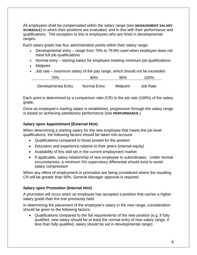All employees shall be compensated within the salary range (see **[MANAGEMENT SALARY](#page-22-0)  [SCHEDULE](#page-22-0)**) in which their positions are evaluated, and in line with their performance and qualifications. The exception to this is employees who are hired in developmental ranges.

Each salary grade has four administrative points within their salary range:

- Developmental entry range from 70% to 79.9% used when employee does not meet full job qualifications
- Normal entry starting salary for employee meeting minimum job qualifications
- Midpoint
- Job rate maximum salary of the pay range, which should not be exceeded

| 70%                 | 80%          | 90%      | 100%            |
|---------------------|--------------|----------|-----------------|
| Developmental Entry | Normal Entry | Midpoint | <b>Job Rate</b> |

Each point is determined by a comparison ratio (CR) to the job rate (100%) of the salary grade.

Once an employee's starting salary is established, progression through the salary range is based on achieving satisfactory performance (see **[PERFORMANCE](#page-14-0)** ).

#### <span id="page-8-0"></span>**Salary upon Appointment (External Hire)**

When determining a starting salary for the new employee that meets the job level qualifications, the following factors should be taken into account:

- Qualifications compared to those posted for the position
- Education and experience relative to their peers (internal equity)
- Availability of this skill set in the current employment market
- If applicable, salary relationship of new employee to subordinates. Under normal circumstances, a minimum 5% supervisory differential should exist to avoid salary compression

When any offers of employment or promotion are being considered where the resulting CR will be greater than 90%, General Manager approval is required.

#### <span id="page-8-1"></span>**Salary upon Promotion (Internal Hire)**

A promotion will occur when an employee has accepted a position that carries a higher salary grade than the one previously held.

In determining the placement of the employee's salary in the new range, consideration should be given to the following factors:

 Qualifications compared to the full requirements of the new position (e.g. if fully qualified, new salary should be at least the normal entry of new salary range; if less than fully qualified, salary should be set in developmental range)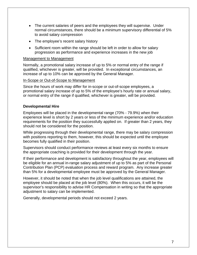- The current salaries of peers and the employees they will supervise. Under normal circumstances, there should be a minimum supervisory differential of 5% to avoid salary compression
- The employee's recent salary history
- Sufficient room within the range should be left in order to allow for salary progression as performance and experience increases in the new job

#### Management to Management

Normally, a promotional salary increase of up to 5% or normal entry of the range if qualified, whichever is greater, will be provided. In exceptional circumstances, an increase of up to 10% can be approved by the General Manager.

#### In-Scope or Out-of-Scope to Management

Since the hours of work may differ for in-scope or out-of-scope employees, a promotional salary increase of up to 5% of the employee's hourly rate or annual salary, or normal entry of the range if qualified, whichever is greater, will be provided.

#### <span id="page-9-0"></span>**Developmental Hire**

Employees will be placed in the developmental range (70% - 79.9%) when their experience level is short by 2 years or less of the minimum experience and/or education requirements for the position they successfully applied on. If greater than 2 years, they should not be considered for the position.

While progressing through their developmental range, there may be salary compression with positions reporting to them, however, this should be expected until the employee becomes fully qualified in their position.

Supervisors should conduct performance reviews at least every six months to ensure the appropriate coaching is provided for their development through the year.

If their performance and development is satisfactory throughout the year, employees will be eligible for an annual in-range salary adjustment of up to 5% as part of the Personal Contribution Plan (PCP) evaluation process and reward program. Any increase greater than 5% for a developmental employee must be approved by the General Manager.

However, it should be noted that when the job level qualifications are attained, the employee should be placed at the job level (80%). When this occurs, it will be the supervisor's responsibility to advise HR Compensation in writing so that the appropriate adjustment to salary can be implemented.

Generally, developmental periods should not exceed 2 years.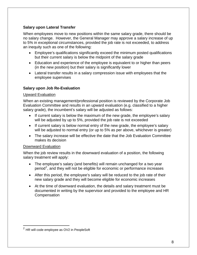#### <span id="page-10-0"></span>**Salary upon Lateral Transfer**

When employees move to new positions within the same salary grade, there should be no salary change. However, the General Manager may approve a salary increase of up to 5% in exceptional circumstances, provided the job rate is not exceeded, to address an inequity such as one of the following:

- Employee's qualifications significantly exceed the minimum posted qualifications but their current salary is below the midpoint of the salary grade
- Education and experience of the employee is equivalent to or higher than peers (in the new position) but their salary is significantly lower
- Lateral transfer results in a salary compression issue with employees that the employee supervises

#### <span id="page-10-1"></span>**Salary upon Job Re-Evaluation**

#### Upward Evaluation

When an existing management/professional position is reviewed by the Corporate Job Evaluation Committee and results in an upward evaluation (e.g. classified to a higher salary grade), the incumbent's salary will be adjusted as follows:

- If current salary is below the maximum of the new grade, the employee's salary will be adjusted by up to 5%, provided the job rate is not exceeded
- If current salary is below normal entry of the new grade, the employee's salary will be adjusted to normal entry (or up to 5% as per above, whichever is greater)
- The salary increase will be effective the date that the Job Evaluation Committee makes its decision

#### Downward Evaluation

When the job review results in the downward evaluation of a position, the following salary treatment will apply:

- The employee's salary (and benefits) will remain unchanged for a two year period<sup>[2](#page-10-2)</sup>, and they will not be eligible for economic or performance increases
- After this period, the employee's salary will be reduced to the job rate of their new salary grade and they will become eligible for economic increases
- At the time of downward evaluation, the details and salary treatment must be documented in writing by the supervisor and provided to the employee and HR **Compensation**

<u>.</u>

<span id="page-10-2"></span> $2$  HR will code employee as OV2 in PeopleSoft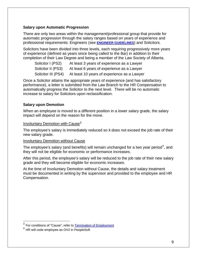#### <span id="page-11-0"></span>**Salary upon Automatic Progression**

There are only two areas within the management/professional group that provide for automatic progression through the salary ranges based on years of experience and professional requirements: Engineers (see **[ENGINEER GUIDELINES](#page-27-0)**) and Solicitors.

Solicitors have been divided into three levels, each requiring progressively more years of experience (defined as years since being called to the Bar) in addition to their completion of their Law Degree and being a member of the Law Society of Alberta.

Solicitor I (PS2) At least 3 years of experience as a Lawyer Solicitor II (PS3) At least 6 years of experience as a Lawyer

Solicitor III (PS4) At least 10 years of experience as a Lawyer

Once a Solicitor attains the appropriate years of experience (and has satisfactory performance), a letter is submitted from the Law Branch to the HR Compensation to automatically progress the Solicitor to the next level. There will be no automatic increase to salary for Solicitors upon reclassification.

#### <span id="page-11-1"></span>**Salary upon Demotion**

When an employee is moved to a different position in a lower salary grade, the salary impact will depend on the reason for the move.

#### **Involuntary Demotion with Cause**<sup>[3](#page-11-2)</sup>

The employee's salary is immediately reduced so it does not exceed the job rate of their new salary grade.

#### Involuntary Demotion without Cause

The employee's salary (and benefits) will remain unchanged for a two year period<sup>[4](#page-11-3)</sup>, and they will not be eligible for economic or performance increases.

After this period, the employee's salary will be reduced to the job rate of their new salary grade and they will become eligible for economic increases.

At the time of Involuntary Demotion without Cause, the details and salary treatment must be documented in writing by the supervisor and provided to the employee and HR Compensation.

 $\overline{a}$ 

<span id="page-11-2"></span> $^3$  For conditions of "Cause", refer to  $\overline{\text{Termination of}_{} }$  Employment

<span id="page-11-3"></span> $<sup>4</sup>$  HR will code employee as OV2 in PeopleSoft</sup>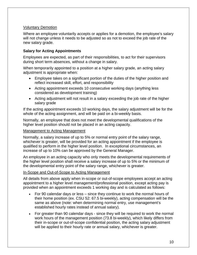#### Voluntary Demotion

Where an employee voluntarily accepts or applies for a demotion, the employee's salary will not change unless it needs to be adjusted so as not to exceed the job rate of the new salary grade.

#### <span id="page-12-0"></span>**Salary for Acting Appointments**

Employees are expected, as part of their responsibilities, to act for their supervisors during short term absences, without a change in salary.

When temporarily appointed to a position at a higher salary grade, an acting salary adjustment is appropriate when:

- Employee takes on a significant portion of the duties of the higher position and reflect increased skill, effort, and responsibility
- Acting appointment exceeds 10 consecutive working days (anything less considered as development training)
- Acting adjustment will not result in a salary exceeding the job rate of the higher salary grade

If the acting appointment exceeds 10 working days, the salary adjustment will be for the whole of the acting assignment, and will be paid on a bi-weekly basis.

Normally, an employee that does not meet the developmental qualifications of the higher level position should not be placed in an acting capacity.

#### Management to Acting Management

Normally, a salary increase of up to 5% or normal entry point of the salary range, whichever is greater, will be provided for an acting appointment if the employee is qualified to perform in the higher level position. In exceptional circumstances, an increase of up to 10% can be approved by the General Manager.

An employee in an acting capacity who only meets the developmental requirements of the higher level position shall receive a salary increase of up to 5% or the minimum of the developmental entry point of the salary range, whichever is greater.

#### In-Scope and Out-of-Scope to Acting Management

All details from above apply when in-scope or out-of-scope employees accept an acting appointment to a higher level management/professional position, except acting pay is provided when an appointment exceeds 1 working day and is calculated as follows:

- For 90 calendar days or less since they continue to work the normal hours of their home position (ex. CSU 52: 67.5 bi-weekly), acting compensation will be the same as above (note: when determining normal entry, use management's established hourly rates instead of annual salary).
- For greater than 90 calendar days since they will be required to work the normal work hours of the management position (73.8 bi-weekly), which likely differs from their in-scope or out-of-scope confidential position, the acting salary adjustment will be applied to their hourly rate or annual salary, whichever is greater.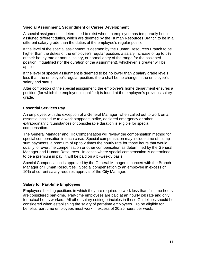#### <span id="page-13-0"></span>**Special Assignment, Secondment or Career Development**

A special assignment is determined to exist when an employee has temporarily been assigned different duties, which are deemed by the Human Resources Branch to be in a different salary grade than the duties of the employee's regular position.

If the level of the special assignment is deemed by the Human Resources Branch to be higher than the duties of the employee's regular position, a salary increase of up to 5% of their hourly rate or annual salary, or normal entry of the range for the assigned position, if qualified (for the duration of the assignment), whichever is greater will be applied.

If the level of special assignment is deemed to be no lower than 2 salary grade levels less than the employee's regular position, there shall be no change in the employee's salary and status.

After completion of the special assignment, the employee's home department ensures a position (for which the employee is qualified) is found at the employee's previous salary grade.

#### <span id="page-13-1"></span>**Essential Services Pay**

An employee, with the exception of a General Manager, when called out to work on an essential basis due to a work stoppage, strike, declared emergency or other extraordinary circumstances of considerable duration is eligible for special compensation.

The General Manager and HR Compensation will review the compensation method for special compensation in each case. Special compensation may include time off, lump sum payments, a premium of up to 2 times the hourly rate for those hours that would qualify for overtime compensation or other compensation as determined by the General Manager and Human Resources. In cases where special compensation is determined to be a premium in pay, it will be paid on a bi-weekly basis.

Special Compensation is approved by the General Manager in concert with the Branch Manager of Human Resources. Special compensation to an employee in excess of 10% of current salary requires approval of the City Manager.

#### <span id="page-13-2"></span>**Salary for Part-time Employees**

Employees holding positions in which they are required to work less than full-time hours are considered part-time. Part-time employees are paid at an hourly job rate and only for actual hours worked. All other salary setting principles in these Guidelines should be considered when establishing the salary of part-time employees. To be eligible for benefits, part-time employees must work in excess of 20.25 hours per week.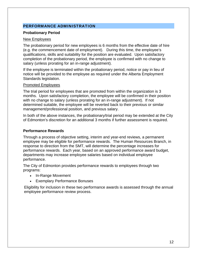#### <span id="page-14-0"></span>PERFORMANCE ADMINISTRATION

#### <span id="page-14-1"></span>**Probationary Period**

#### New Employees

The probationary period for new employees is 6 months from the effective date of hire (e.g. the commencement date of employment). During this time, the employee's qualifications, skills and suitability for the position are evaluated. Upon satisfactory completion of the probationary period, the employee is confirmed with no change to salary (unless prorating for an in-range adjustment).

If the employee is terminated within the probationary period, notice or pay in lieu of notice will be provided to the employee as required under the Alberta Employment Standards legislation.

#### Promoted Employees

The trial period for employees that are promoted from within the organization is 3 months. Upon satisfactory completion, the employee will be confirmed in their position with no change to salary (unless prorating for an in-range adjustment). If not determined suitable, the employee will be reverted back to their previous or similar management/professional position, and previous salary.

In both of the above instances, the probationary/trial period may be extended at the City of Edmonton's discretion for an additional 3 months if further assessment is required.

#### <span id="page-14-2"></span>**Performance Rewards**

Through a process of objective setting, interim and year-end reviews, a permanent employee may be eligible for performance rewards. The Human Resources Branch, in response to direction from the SMT, will determine the percentage increases for performance rewards. Each year, based on an approved performance award budget, departments may increase employee salaries based on individual employee performance.

The City of Edmonton provides performance rewards to employees through two programs:

- In-Range Movement
- Exemplary Performance Bonuses

Eligibility for inclusion in these two performance awards is assessed through the annual employee performance review process.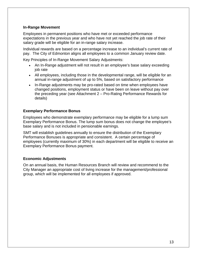#### <span id="page-15-0"></span>**In-Range Movement**

Employees in permanent positions who have met or exceeded performance expectations in the previous year and who have not yet reached the job rate of their salary grade will be eligible for an in-range salary increase.

Individual rewards are based on a percentage increase to an individual's current rate of pay. The City of Edmonton aligns all employees to a common January review date.

Key Principles of In-Range Movement Salary Adjustments:

- An In-Range adjustment will not result in an employee's base salary exceeding job rate
- All employees, including those in the developmental range, will be eligible for an annual in-range adjustment of up to 5%, based on satisfactory performance
- In-Range adjustments may be pro-rated based on time when employees have changed positions, employment status or have been on leave without pay over the preceding year (see Attachment 2 – Pro-Rating Performance Rewards for details)

#### <span id="page-15-1"></span>**Exemplary Performance Bonus**

Employees who demonstrate exemplary performance may be eligible for a lump sum Exemplary Performance Bonus. The lump sum bonus does not change the employee's base salary and is not included in pensionable earnings.

SMT will establish guidelines annually to ensure the distribution of the Exemplary Performance Bonuses is appropriate and consistent. A certain percentage of employees (currently maximum of 30%) in each department will be eligible to receive an Exemplary Performance Bonus payment.

#### <span id="page-15-2"></span>**Economic Adjustments**

On an annual basis, the Human Resources Branch will review and recommend to the City Manager an appropriate cost of living increase for the management/professional group, which will be implemented for all employees if approved.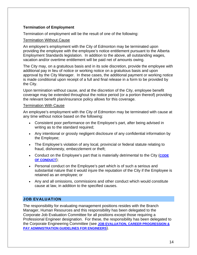#### <span id="page-16-0"></span>**Termination of Employment**

Termination of employment will be the result of one of the following:

#### Termination Without Cause

An employee's employment with the City of Edmonton may be terminated upon providing the employee with the employee's notice entitlement pursuant to the Alberta Employment Standards legislation. In addition to the above, all outstanding wages, vacation and/or overtime entitlement will be paid net of amounts owing.

The City may, on a gratuitous basis and in its sole discretion, provide the employee with additional pay in lieu of notice or working notice on a gratuitous basis and upon approval by the City Manager. In these cases, the additional payment or working notice is made conditional upon receipt of a full and final release in a form to be provided by the City.

Upon termination without cause, and at the discretion of the City, employee benefit coverage may be extended throughout the notice period (or a portion thereof) providing the relevant benefit plan/insurance policy allows for this coverage.

#### Termination With Cause

An employee's employment with the City of Edmonton may be terminated with cause at any time without notice based on the following:

- Consistent poor performance on the Employee's part, after being advised in writing as to the standard required;
- Any intentional or grossly negligent disclosure of any confidential information by the Employee;
- The Employee's violation of any local, provincial or federal statute relating to fraud, dishonesty, embezzlement or theft;
- Conduct on the Employee's part that is materially detrimental to the City (**[CODE](http://www.edmonton.ca/city_government/jobs/code-of-conduct.aspx)  [OF CONDUCT](http://www.edmonton.ca/city_government/jobs/code-of-conduct.aspx)**);
- Personal conduct on the Employee's part which is of such a serious and substantial nature that it would injure the reputation of the City if the Employee is retained as an employee; or
- Any and all omissions, commissions and other conduct which would constitute cause at law, in addition to the specified causes.

#### <span id="page-16-1"></span>JOB EVALUATION

The responsibility for evaluating management positions resides with the Branch Manager, Human Resources and this responsibility has been delegated to the Corporate Job Evaluation Committee for all positions except those requiring a Professional Engineer designation. For these, the responsibility has been delegated to the Corporate Engineering Committee (see **[JOB EVALUATION, CAREER PROGRESSION &](#page-27-0)  [PAY ADMINISTRATION GUIDELINES FOR ENGINEERS](#page-27-0)**).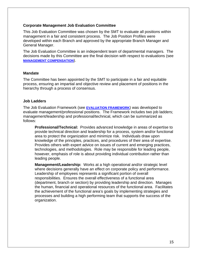#### <span id="page-17-0"></span>**Corporate Management Job Evaluation Committee**

This Job Evaluation Committee was chosen by the SMT to evaluate all positions within management in a fair and consistent process. The Job Position Profiles were developed within each Branch and approved by the appropriate Branch Manager and General Manager.

The Job Evaluation Committee is an independent team of departmental managers. The decisions made by this Committee are the final decision with respect to evaluations (see **[MANAGEMENT COMPENSATION](http://ecity/employeeinformation/managers_supervisors/management-compensation.aspx)**).

#### <span id="page-17-1"></span>**Mandate**

The Committee has been appointed by the SMT to participate in a fair and equitable process, ensuring an impartial and objective review and placement of positions in the hierarchy through a process of consensus.

#### <span id="page-17-2"></span>**Job Ladders**

The Job Evaluation Framework (see **[EVALUATION FRAMEWORK](http://ecity/assets/Evaluation_Framework_3.pdf)**) was developed to evaluate management/professional positions. The Framework includes two job ladders; management/leadership and professional/technical, which can be summarized as follows:

**Professional/Technical:** Provides advanced knowledge in areas of expertise to provide technical direction and leadership for a process, system and/or functional area to protect the organization and minimize risk. Individuals draw upon knowledge of the principles, practices, and procedures of their area of expertise. Provides others with expert advice on issues of current and emerging practices, technologies, and methodologies. Role may be responsible for leading people, however, emphasis of role is about providing individual contribution rather than leading people.

**Management/Leadership:** Works at a high operational and/or strategic level where decisions generally have an effect on corporate policy and performance. Leadership of employees represents a significant portion of overall responsibilities. Ensures the overall effectiveness of a functional area (department, branch or section) by providing leadership and direction. Manages the human, financial and operational resources of the functional area. Facilitates the achievement of the functional area's goals by implementing strategies and processes and building a high performing team that supports the success of the organization.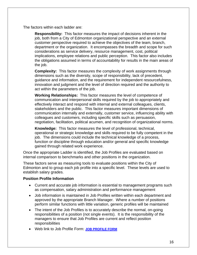The factors within each ladder are:

**Responsibility:** This factor measures the impact of decisions inherent in the job, both from a City of Edmonton organizational perspective and an external customer perspective required to achieve the objectives of the team, branch, department or the organization. It encompasses the breadth and scope for such considerations as service delivery, resource management, cost, political implications, employee relations and public perception. This factor also includes the obligations assumed in terms of accountability for results in the main areas of the job.

**Complexity:** This factor measures the complexity of work assignments through dimensions such as the diversity, scope of responsibility, lack of precedent, guidance and information, and the requirement for independent resourcefulness, innovation and judgment and the level of direction required and the authority to act within the parameters of the job.

**Working Relationships:** This factor measures the level of competence of communication and interpersonal skills required by the job to appropriately and effectively interact and respond with internal and external colleagues, clients, stakeholders and the public. This factor measures important dimensions of communication internally and externally, customer service, influencing ability with colleagues and customers, including specific skills such as persuasion, negotiation, facilitation, political acumen, and recognition of organizational norms.

**Knowledge:** This factor measures the level of professional, technical, operational or strategic knowledge and skills required to be fully competent in the job. The dimensions could include the technical knowledge of a process, function or discipline through education and/or general and specific knowledge gained through related work experience.

Once the appropriate Ladder is identified, the Job Profiles are evaluated based on internal comparison to benchmarks and other positions in the organization.

These factors serve as measuring tools to evaluate positions within the City of Edmonton and to group each job profile into a specific level. These levels are used to establish salary grades.

#### <span id="page-18-0"></span>**Position Profile Information**

- Current and accurate job information is essential to management programs such as compensation, salary administration and performance management
- Job information is maintained in Job Profiles written within each department and approved by the appropriate Branch Manager. Where a number of positions perform similar functions with little variation, generic profiles will be maintained
- The intent of the Job Profiles is to accurately describe the normal, on-going responsibilities of a position (not single events). It is the responsibility of the managers to ensure that Job Profiles are current and reflect position responsibilities
- Web link to Job Profile Form: **[JOB PROFILE FORM](http://ecity/assets/JobProfileForm.doc)**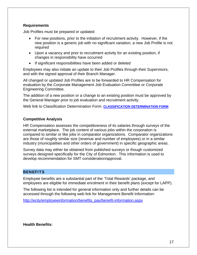#### <span id="page-19-0"></span>**Requirements**

Job Profiles must be prepared or updated:

- For new positions, prior to the initiation of recruitment activity. However, if the new position is a generic job with no significant variation, a new Job Profile is not required
- Upon a vacancy and prior to recruitment activity for an existing position, if changes in responsibility have occurred
- If significant responsibilities have been added or deleted

Employees may also initiate an update to their Job Profiles through their Supervisors, and with the signed approval of their Branch Manager.

All changed or updated Job Profiles are to be forwarded to HR Compensation for evaluation by the Corporate Management Job Evaluation Committee or Corporate Engineering Committee.

The addition of a new position or a change to an existing position must be approved by the General Manager prior to job evaluation and recruitment activity.

Web link to Classification Determination Form: **[CLASSIFICATION DETERMINATION FORM](http://ecity/assets/Classification_Determination_Form_Jun_2010.doc)**

#### <span id="page-19-1"></span>**Competitive Analysis**

HR Compensation assesses the competitiveness of its salaries through surveys of the external marketplace. The job content of various jobs within the corporation is compared to similar or like jobs in comparator organizations. Comparator organizations are those of roughly similar size (revenue and number of employees) or in a similar industry (municipalities and other orders of government) in specific geographic areas.

Survey data may either be obtained from published surveys or though customized surveys designed specifically for the City of Edmonton. This information is used to develop recommendation for SMT consideration/approval.

#### <span id="page-19-2"></span>**BENEFITS**

Employee benefits are a substantial part of the 'Total Rewards' package, and employees are eligible for immediate enrolment in their benefit plans (except for LAPP).

The following list is intended for general information only and further details can be accessed through the following web link for Management Benefit Information:

[http://ecity/employeeinformation/benefits\\_pay/benefit-information.aspx](http://ecity/employeeinformation/benefits_pay/benefit-information.aspx)

<span id="page-19-3"></span>**Health Benefits:**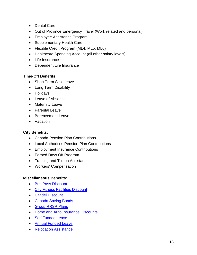- Dental Care
- Out of Province Emergency Travel (Work related and personal)
- Employee Assistance Program
- Supplementary Health Care
- Flexible Credit Program (ML4, ML5, ML6)
- Healthcare Spending Account (all other salary levels)
- Life Insurance
- Dependent Life Insurance

#### <span id="page-20-0"></span>**Time-Off Benefits:**

- Short Term Sick Leave
- Long Term Disability
- Holidays
- Leave of Absence
- Maternity Leave
- Parental Leave
- Bereavement Leave
- Vacation

#### <span id="page-20-1"></span>**City Benefits:**

- Canada Pension Plan Contributions
- Local Authorities Pension Plan Contributions
- Employment Insurance Contributions
- Earned Days Off Program
- Training and Tuition Assistance
- Workers' Compensation

#### <span id="page-20-2"></span>**Miscellaneous Benefits:**

- **[Bus Pass Discount](http://ecity/employeeinformation/benefits_pay/ets-bus-pass-savings.aspx)**
- [City Fitness Facilities Discount](http://ecity/employeeinformation/benefits_pay/recreation-centres-discount.aspx)
- [Citadel Discount](http://ecity/employeeinformation/benefits_pay/entertainment-discounts.aspx)
- [Canada Saving Bonds](http://ecity/employeeinformation/benefits_pay/canada-savings-bonds.aspx)
- [Group RRSP Plans](http://ecity/employeeinformation/benefits_pay/general-deductions-additional.aspx)
- [Home and Auto Insurance Discounts](http://ecity/employeeinformation/benefits_pay/employee-home-auto-travel-insurance-discounts.aspx)
- [Self Funded Leave](http://ecity/employeeinformation/benefits_pay/self-funded-leave.aspx)
- **[Annual Funded Leave](http://ecity/employeeinformation/benefits_pay/annual-funded-leave.aspx)**
- [Relocation Assistance](http://www.edmonton.ca/city_government/documents/A1104A_AttachmentI.pdf)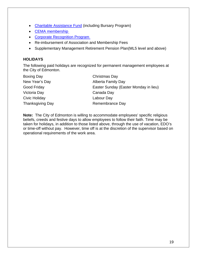- [Charitable Assistance Fund](http://ecity/assets/Charitable_Fact_Sheet.pdf) (including Bursary Program)
- CEMA membership
- Corporate Recognition Program
- Re-imbursement of Association and Membership Fees
- Supplementary Management Retirement Pension Plan(ML5 level and above)

#### <span id="page-21-0"></span>**HOLIDAYS**

The following paid holidays are recognized for permanent management employees at the City of Edmonton.

| <b>Boxing Day</b>       | Christmas Day                         |
|-------------------------|---------------------------------------|
| New Year's Day          | Alberta Family Day                    |
| Good Friday             | Easter Sunday (Easter Monday in lieu) |
| Victoria Day            | Canada Day                            |
| Civic Holiday           | Labour Day                            |
| <b>Thanksgiving Day</b> | Remembrance Day                       |

**Note:** The City of Edmonton is willing to accommodate employees' specific religious beliefs, creeds and festive days to allow employees to follow their faith. Time may be taken for holidays, in addition to those listed above, through the use of vacation, EDO's or time-off without pay. However, time off is at the discretion of the supervisor based on operational requirements of the work area.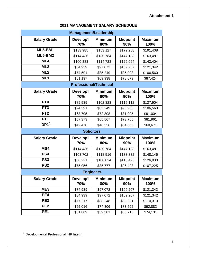#### **Attachment 1**

<span id="page-22-0"></span>

| Management/Leadership |                               |                       |                        |                        |
|-----------------------|-------------------------------|-----------------------|------------------------|------------------------|
| <b>Salary Grade</b>   | Develop'l<br>70%              | <b>Minimum</b><br>80% | <b>Midpoint</b><br>90% | <b>Maximum</b><br>100% |
| ML5-BM1               | \$133,985                     | \$153,127             | \$172,268              | \$191,408              |
| ML5-BM2               | \$114,436                     | \$130,784             | \$147,133              | \$163,481              |
| ML4                   | \$100,383                     | \$114,723             | \$129,064              | \$143,404              |
| ML3                   | \$84,939                      | \$97,072              | \$109,207              | \$121,342              |
| ML <sub>2</sub>       | \$74,591                      | \$85,249              | \$95,903               | \$106,560              |
| ML1                   | \$61,197                      | \$69,938              | \$78,679               | \$87,424               |
|                       | <b>Professional/Technical</b> |                       |                        |                        |
| <b>Salary Grade</b>   | Develop'l<br>70%              | <b>Minimum</b><br>80% | <b>Midpoint</b><br>90% | <b>Maximum</b><br>100% |
| PT4                   | \$89,535                      | \$102,323             | \$115,112              | \$127,904              |
| PT <sub>3</sub>       | \$74,591                      | \$85,249              | \$95,903               | \$106,560              |
| PT <sub>2</sub>       | \$63,705                      | \$72,808              | \$81,905               | \$91,004               |
| PT <sub>1</sub>       | \$57,373                      | \$65,567              | \$73,765               | \$81,961               |
| DP1 <sup>1</sup>      | \$42,470                      | \$48,536              | \$54,605               | \$60,671               |
|                       | <b>Solicitors</b>             |                       |                        |                        |
| <b>Salary Grade</b>   | Develop'l<br>70%              | <b>Minimum</b><br>80% | <b>Midpoint</b><br>90% | <b>Maximum</b><br>100% |
| MS4                   | \$114,436                     | \$130,784             | \$147,133              | \$163,481              |
| PS4                   | \$103,702                     | \$118,516             | \$133,332              | \$148,146              |
| PS <sub>3</sub>       | \$88,221                      | \$100,824             | \$113,425              | \$126,030              |
| PS <sub>2</sub>       | \$75,056                      | \$85,777              | \$96,498               | \$107,225              |
| <b>Engineers</b>      |                               |                       |                        |                        |
| <b>Salary Grade</b>   | Develop'l<br>70%              | <b>Minimum</b><br>80% | <b>Midpoint</b><br>90% | <b>Maximum</b><br>100% |
| ME3                   | \$84,939                      | \$97,072              | \$109,207              | \$121,342              |
| PE4                   | \$84,939                      | \$97,072              | \$109,207              | \$121,342              |
| PE <sub>3</sub>       | \$77,217                      | \$88,248              | \$99,281               | \$110,310              |
| PE <sub>2</sub>       | \$65,016                      | \$74,306              | \$83,592               | \$92,882               |
| PE <sub>1</sub>       | \$51,889                      | \$59,301              | \$66,715               | \$74,131               |

 $\overline{a}$ 

<span id="page-22-1"></span><sup>&</sup>lt;sup>1</sup> Developmental Professional (HR Intern)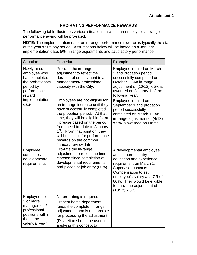#### **PRO-RATING PERFORMANCE REWARDS**

The following table illustrates various situations in which an employee's in-range performance award will be pro-rated.

**NOTE:** The implementation date for in-range performance rewards is typically the start of the year's first pay period. Assumptions below will be based on a January 1 implementation date, 5% in-range adjustments and satisfactory performance.

| <b>Situation</b>                                                                                            | Procedure                                                                                                                                                                                                                                                                                                                                                                     | Example                                                                                                                                                                                                                                                                             |
|-------------------------------------------------------------------------------------------------------------|-------------------------------------------------------------------------------------------------------------------------------------------------------------------------------------------------------------------------------------------------------------------------------------------------------------------------------------------------------------------------------|-------------------------------------------------------------------------------------------------------------------------------------------------------------------------------------------------------------------------------------------------------------------------------------|
| Newly hired<br>employee who<br>has completed<br>the probationary<br>period by<br>performance<br>reward      | Pro-rate the in-range<br>adjustment to reflect the<br>duration of employment in a<br>management/ professional<br>capacity with the City.                                                                                                                                                                                                                                      | Employee is hired on March<br>1 and probation period<br>successfully completed on<br>October 1. An in-range<br>adjustment of (10/12) x 5% is<br>awarded on January 1 of the<br>following year.                                                                                      |
| implementation<br>date.                                                                                     | Employees are not eligible for<br>an in-range increase until they<br>have successfully completed<br>the probation period. At that<br>time, they will be eligible for an<br>increase based on the period<br>from their hire date to January<br>1 <sup>st</sup> . From that point on, they<br>will be eligible for performance<br>rewards on the common<br>January review date. | Employee is hired on<br>September 1 and probation<br>period successfully<br>completed on March 1. An<br>in-range adjustment of (4/12)<br>x 5% is awarded on March 1.                                                                                                                |
| Employee<br>completes<br>developmental<br>requirements                                                      | Pro-rate the in-range<br>adjustment to reflect the time<br>elapsed since completion of<br>developmental requirements<br>and placed at job entry (80%).                                                                                                                                                                                                                        | A developmental employee<br>attains normal entry<br>education and experience<br>requirement on March 1.<br><b>Supervisor contacts</b><br>Compensation to set<br>employee's salary at a CR of<br>80%. They would be eligible<br>for in-range adjustment of<br>$(10/12) \times 5\%$ . |
| Employee holds<br>2 or more<br>management/<br>professional<br>positions within<br>the same<br>calendar year | No pro-rating is required.<br>Present home department<br>funds the complete in-range<br>adjustment, and is responsible<br>for processing the adjustment<br>(Discretion should be used in<br>applying this concept to                                                                                                                                                          |                                                                                                                                                                                                                                                                                     |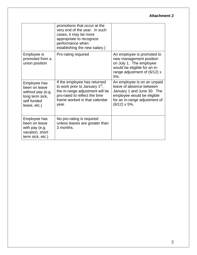#### **Attachment 2**

|                                                                                                      | promotions that occur at the<br>very end of the year. In such<br>cases, it may be more<br>appropriate to recognize<br>performance when<br>establishing the new salary.)                  |                                                                                                                                                                               |
|------------------------------------------------------------------------------------------------------|------------------------------------------------------------------------------------------------------------------------------------------------------------------------------------------|-------------------------------------------------------------------------------------------------------------------------------------------------------------------------------|
| Employee is<br>promoted from a<br>union position                                                     | Pro-rating required                                                                                                                                                                      | An employee is promoted to<br>new management position<br>on July 1. The employee<br>would be eligible for an in-<br>range adjustment of $(6/12)$ x<br>5%.                     |
| Employee has<br>been on leave<br>without pay (e.g.<br>long term sick,<br>self funded<br>leave, etc.) | If the employee has returned<br>to work prior to January 1 <sup>st</sup> ,<br>the in-range adjustment will be<br>pro-rated to reflect the time<br>frame worked in that calendar<br>year. | An employee is on an unpaid<br>leave of absence between<br>January 1 and June 30. The<br>employee would be eligible<br>for an in-range adjustment of<br>$(6/12) \times 5\%$ . |
| Employee has<br>been on leave<br>with pay (e.g.<br>vacation, short<br>term sick, etc.)               | No pro-rating is required<br>unless leaves are greater than<br>3 months.                                                                                                                 |                                                                                                                                                                               |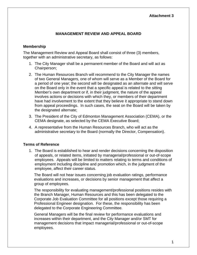#### **Attachment 3**

#### **MANAGEMENT REVIEW AND APPEAL BOARD**

#### **Membership**

The Management Review and Appeal Board shall consist of three (3) members, together with an administrative secretary, as follows:

- 1. The City Manager shall be a permanent member of the Board and will act as Chairperson;
- 2. The Human Resources Branch will recommend to the City Manager the names of two General Managers, one of whom will serve as a Member of the Board for a period of one year; the second will be designated as an alternate and will serve on the Board only in the event that a specific appeal is related to the sitting Member's own department or if, in their judgment, the nature of the appeal involves actions or decisions with which they, or members of their department have had involvement to the extent that they believe it appropriate to stand down from appeal proceedings. In such cases, the seat on the Board will be taken by the designated alternate;
- 3. The President of the City of Edmonton Management Association (CEMA), or the CEMA designate, as selected by the CEMA Executive Board;
- 4. A representative from the Human Resources Branch, who will act as the administrative secretary to the Board (normally the Director, Compensation).

#### **Terms of Reference**

1. The Board is established to hear and render decisions concerning the disposition of appeals, or related items, initiated by managerial/professional or out-of-scope employees. Appeals will be limited to matters relating to terms and conditions of employment including discipline and promotion which, in the judgment of the employee, affect their career status.

The Board will not hear issues concerning job evaluation ratings, performance evaluations and increases, or decisions by senior management that affect a group of employees.

The responsibility for evaluating management/professional positions resides with the Branch Manager, Human Resources and this has been delegated to the Corporate Job Evaluation Committee for all positions except those requiring a Professional Engineer designation. For these, the responsibility has been delegated to the Corporate Engineering Committee.

General Managers will be the final review for performance evaluations and increases within their department, and the City Manager and/or SMT for management decisions that impact managerial/professional or out-of-scope employees.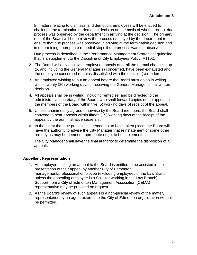In matters relating to dismissal and demotion, employees will be entitled to challenge the termination or demotion decision on the basis of whether or not due process was observed by the department in arriving at the decision. The primary role of the Board will be to review the process employed by the department to ensure that due process was observed in arriving at the termination decision and in determining appropriate remedial steps if due process was not observed.

Due process is described in the "Performance Management Strategies" guideline that is a supplement to the Discipline of City Employees Policy, A1102.

- 2. The Board will only deal with employee appeals after all the normal channels, up to, and including the General Manager(s) concerned, have been exhausted and the employee concerned remains dissatisfied with the decision(s) rendered.
- 3. An employee wishing to put an appeal before the Board must do so in writing within twenty (20) working days of receiving the General Manager's final written decision.
- 4. All appeals shall be in writing, including remedies, and be directed to the administrative secretary of the Board, who shall forward copies of the appeal to the members of the Board within five (5) working days of receipt of the appeal.
- 5. Unless unanimously agreed otherwise by the Board members, the Board shall convene to hear appeals within fifteen (15) working days of the receipt of the appeal by the administrative secretary.
- 6. In the event that due process is deemed not to have taken place, the Board will have the authority to advise the City Manager that reinstatement or some other remedy as may be deemed appropriate ought to be implemented.

The City Manager shall have the final authority to determine the disposition of all appeals.

#### **Appellant Representation**

- 1. An employee making an appeal to the Board is entitled to be assisted in the presentation of their appeal by another City of Edmonton management/professional employee (excluding employees of the Law Branch unless the appealing employee is a Solicitor working in the Law Branch). Support from a City of Edmonton Management Association (CEMA) representative may be provided on request.
- 2. As the Board's review of such appeals is a non-judicial review of the matter, representation by an agent external to the City of Edmonton organization will not be permitted.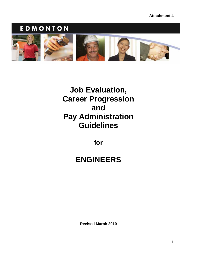### EDMONTON

<span id="page-27-0"></span>

## **Job Evaluation, Career Progression and Pay Administration Guidelines**

**for** 

## **ENGINEERS**

**Revised March 2010**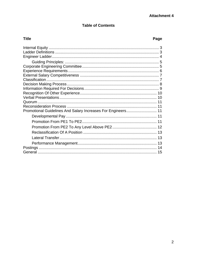#### **Attachment 4**

#### **Table of Contents**

#### **Title**

#### Page

| Promotional Guidelines And Salary Increases For Engineers 11 |  |
|--------------------------------------------------------------|--|
|                                                              |  |
|                                                              |  |
|                                                              |  |
|                                                              |  |
|                                                              |  |
|                                                              |  |
|                                                              |  |
|                                                              |  |
|                                                              |  |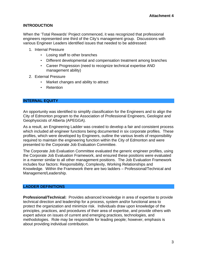#### **INTRODUCTION**

When the 'Total Rewards' Project commenced, it was recognized that professional engineers represented one third of the City's management group. Discussions with various Engineer Leaders identified issues that needed to be addressed:

- 1. Internal Pressure
	- Losing staff to other branches
	- Different developmental and compensation treatment among branches
	- Career Progression (need to recognize technical expertise AND management ability)
- 2. External Pressure
	- Market changes and ability to attract
	- Retention

#### <span id="page-29-0"></span>**INTERNAL EQUITY**

An opportunity was identified to simplify classification for the Engineers and to align the City of Edmonton program to the Association of Professional Engineers, Geologist and Geophysicists of Alberta (APEGGA).

As a result, an Engineering Ladder was created to develop a fair and consistent process which included all engineer functions being documented in six corporate profiles. These profiles, which were developed by Engineers, outline the various levels of responsibility required to maintain the engineering function within the City of Edmonton and were presented to the Corporate Job Evaluation Committee.

The Corporate Job Evaluation Committee evaluated the generic engineer profiles, using the Corporate Job Evaluation Framework, and ensured these positions were evaluated in a manner similar to all other management positions. The Job Evaluation Framework includes four factors: Responsibility, Complexity, Working Relationships and Knowledge. Within the Framework there are two ladders – Professional/Technical and Management/Leadership.

#### <span id="page-29-1"></span>**LADDER DEFINITIONS**

**Professional/Technical:** Provides advanced knowledge in area of expertise to provide technical direction and leadership for a process, system and/or functional area to protect the organization and minimize risk. Individuals draw upon knowledge of the principles, practices, and procedures of their area of expertise, and provide others with expert advice on issues of current and emerging practices, technologies, and methodologies. Role may be responsible for leading people; however, emphasis is about providing individual contribution.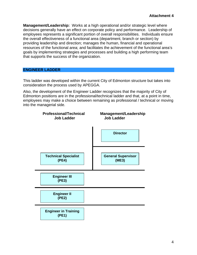**Management/Leadership:** Works at a high operational and/or strategic level where decisions generally have an effect on corporate policy and performance. Leadership of employees represents a significant portion of overall responsibilities. Individuals ensure the overall effectiveness of a functional area (department, branch or section) by providing leadership and direction; manages the human, financial and operational resources of the functional area; and facilitates the achievement of the functional area's goals by implementing strategies and processes and building a high performing team that supports the success of the organization.

#### <span id="page-30-0"></span>**ENGINEER LADDER**

This ladder was developed within the current City of Edmonton structure but takes into consideration the process used by APEGGA.

Also, the development of the Engineer Ladder recognizes that the majority of City of Edmonton positions are in the professional/technical ladder and that, at a point in time, employees may make a choice between remaining as professional / technical or moving into the managerial side.

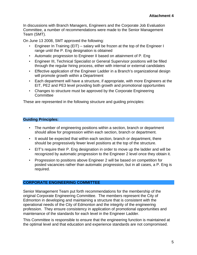In discussions with Branch Managers, Engineers and the Corporate Job Evaluation Committee, a number of recommendations were made to the Senior Management Team (SMT).

On June 13 2008, SMT approved the following:

- Engineer In Training (EIT) salary will be frozen at the top of the Engineer I range until the P. Eng designation is obtained
- Automatic progression to Engineer II based on attainment of P. Eng
- Engineer III, Technical Specialist or General Supervisor positions will be filled through the regular hiring process, either with internal or external candidates
- Effective application of the Engineer Ladder in a Branch's organizational design will promote growth within a Department
- Each department will have a structure, if appropriate, with more Engineers at the EIT, PE2 and PE3 level providing both growth and promotional opportunities
- Changes to structure must be approved by the Corporate Engineering **Committee**

These are represented in the following structure and guiding principles:

#### <span id="page-31-0"></span>**Guiding Principles:**

- The number of engineering positions within a section, branch or department should allow for progression within each section, branch or department.
- It would be expected that within each section, branch or department, there should be progressively fewer level positions at the top of the structure.
- EIT's require their P. Eng designation in order to move up the ladder and will be recognized by automatic progression to the Engineer 2 level once they obtain it.
- Progression to positions above Engineer 2 will be based on competition for posted vacancies rather than automatic progression, but in all cases, a P. Eng is required.

#### <span id="page-31-1"></span>**CORPORATE ENGINEERING COMMITTEE**

Senior Management Team put forth recommendations for the membership of the original Corporate Engineering Committee. The members represent the City of Edmonton in developing and maintaining a structure that is consistent with the operational needs of the City of Edmonton and the integrity of the engineering profession. They ensure consistency in application of promotional opportunities and maintenance of the standards for each level in the Engineer Ladder.

This Committee is responsible to ensure that the engineering function is maintained at the optimal level and that education and experience standards are not compromised.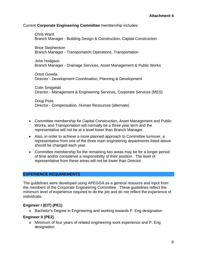#### Current **Corporate Engineering Committee** membership includes:

Chris Ward Branch Manager - Building Design & Construction, Capital Construction

Brice Stephenson Branch Manager - Transportation Operations, Transportation

John Hodgson Branch Manager - Drainage Services, Asset Management & Public Works

Orest Gowda Director - Development Coordination, Planning & Development

Colin Smigelski Director - Management & Engineering Services, Corporate Services (MES)

Doug Poss Director - Compensation, Human Resources (alternate)

- Committee membership for Capital Construction, Asset Management and Public Works, and Transportation will normally be a three year term and the representative will not be at a level lower than Branch Manager.
- Also, in order to achieve a more planned approach to Committee turnover, a representative from one of the three main engineering departments listed above should be changed each year.
- Committee membership for the remaining two areas may be for a longer period of time and/or considered a responsibility of their position. The level of representative from these areas will not be lower than Director.

#### <span id="page-32-0"></span>**EXPERIENCE REQUIREMENTS**

The guidelines were developed using APEGGA as a general resource and input from the members of the Corporate Engineering Committee. These guidelines reflect the minimum level of experience required to do the job and do not reflect the experience of individuals.

#### **Engineer I (EIT) (PE1)**

o Bachelor's Degree in Engineering and working towards P. Eng designation

#### **Engineer II (PE2)**

o Minimum of four years of related engineering work experience and P. Eng designation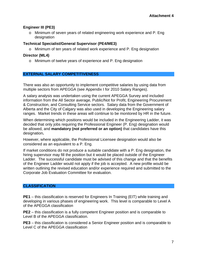#### **Engineer III (PE3)**

o Minimum of seven years of related engineering work experience and P. Eng designation

#### **Technical Specialist/General Supervisor (PE4/ME3)**

o Minimum of ten years of related work experience and P. Eng designation

#### **Director (ML4)**

o Minimum of twelve years of experience and P. Eng designation

#### <span id="page-33-0"></span>**EXTERNAL SALARY COMPETITIVENESS**

There was also an opportunity to implement competitive salaries by using data from multiple sectors from APEGGA (see Appendix I for 2010 Salary Ranges).

A salary analysis was undertaken using the current APEGGA Survey and included information from the All Sector average, Public/Not for Profit, Engineering Procurement & Construction, and Consulting Service sectors. Salary data from the Government of Alberta and the City of Calgary was also used in developing the Engineering salary ranges. Market trends in these areas will continue to be monitored by HR in the future.

When determining which positions would be included in the Engineering Ladder, it was decided that only jobs requiring the Professional Engineer (P. Eng) designation would be allowed, and **mandatory (not preferred or an option)** that candidates have this designation**.** 

However, where applicable, the Professional Licensee designation would also be considered as an equivalent to a P. Eng.

If market conditions do not produce a suitable candidate with a P. Eng designation, the hiring supervisor may fill the position but it would be placed outside of the Engineer Ladder. The successful candidate must be advised of this change and that the benefits of the Engineer Ladder would not apply if the job is accepted. A new profile would be written outlining the revised education and/or experience required and submitted to the Corporate Job Evaluation Committee for evaluation.

#### <span id="page-33-1"></span>**CLASSIFICATION**

**PE1** – this classification is reserved for Engineers In Training (EIT) while training and developing in various phases of engineering work. This level is comparable to Level A of the APEGGA classification

**PE2** – this classification is a fully competent Engineer position and is comparable to Level B of the APEGGA classification.

**PE3** – this classification is considered a Senior Engineer position and is comparable to Level C of the APEGGA classification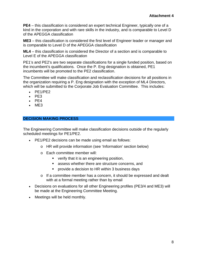**PE4** – this classification is considered an expert technical Engineer, typically one of a kind in the corporation and with rare skills in the industry, and is comparable to Level D of the APEGGA classification

**ME3** – this classification is considered the first level of Engineer leader or manager and is comparable to Level D of the APEGGA classification

**ML4** – this classification is considered the Director of a section and is comparable to Level E of the APEGGA classification

PE1's and PE2's are two separate classifications for a single funded position, based on the incumbent's qualifications. Once the P. Eng designation is obtained, PE1 incumbents will be promoted to the PE2 classification.

The Committee will make classification and reclassification decisions for all positions in the organization requiring a P. Eng designation with the exception of ML4 Directors, which will be submitted to the Corporate Job Evaluation Committee. This includes:

- $\cdot$  PE1/PE2
- $\cdot$  PF3
- $\bullet$  PE4
- $-ME3$

#### <span id="page-34-0"></span>**DECISION MAKING PROCESS**

The Engineering Committee will make classification decisions outside of the regularly scheduled meetings for PE1/PE2.

- PE1/PE2 decisions can be made using email as follows:
	- o HR will provide information (see 'Information' section below)
	- o Each committee member will:
		- **verify that it is an engineering position,**
		- assess whether there are structure concerns, and
		- **PEDED FIGHT PROVIDUATE:** provide a decision to HR within 3 business days
	- o If a committee member has a concern, it should be expressed and dealt with at a formal meeting rather than by email
- Decisions on evaluations for all other Engineering profiles (PE3/4 and ME3) will be made at the Engineering Committee Meeting.
- Meetings will be held monthly.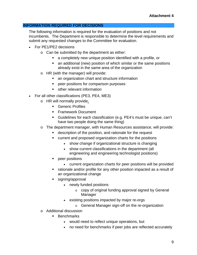#### <span id="page-35-0"></span>**INFORMATION REQUIRED FOR DECISIONS**

The following information is required for the evaluation of positions and not incumbents. The Department is responsible to determine the level requirements and submit any requested changes to the Committee for evaluation.

- For PE1/PE2 decisions
	- o Can be submitted by the department as either:
		- a completely new unique position identified with a profile, or
		- an additional (new) position of which similar or the same positions already exist in the same area of the organization
	- o HR (with the manager) will provide:
		- **an organization chart and structure information**
		- peer positions for comparison purposes
		- other relevant information
- For all other classifications (PE3, PE4, ME3)
	- o HR will normally provide:
		- **Generic Profiles**
		- **Framework Document**
		- Guidelines for each classification (e.g. PE4's must be unique, can't have two people doing the same thing)
	- o The department manager, with Human Resources assistance, will provide:
		- **description of the position, and rationale for the request**
		- current and proposed organization charts for the positions
			- show change if organizational structure is changing
			- show current classifications in the department (all engineering and engineering technologist positions)
		- peer positions
			- current organization charts for peer positions will be provided
		- rationale and/or profile for any other position impacted as a result of an organizational change
		- signing/approval
			- newly funded positions
				- o copy of original funding approval signed by General Manager
			- existing positions impacted by major re-orgs
				- o General Manager sign-off on the re-organization
	- o Additional discussion
		- **Benchmarks** 
			- would need to reflect unique operations, but
			- no need for benchmarks if peer jobs are reflected accurately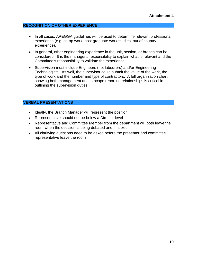#### <span id="page-36-0"></span>**RECOGNITION OF OTHER EXPERIENCE**

- In all cases, APEGGA guidelines will be used to determine relevant professional experience (e.g. co-op work, post graduate work studies, out of country experience).
- In general, other engineering experience in the unit, section, or branch can be considered. It is the manager's responsibility to explain what is relevant and the Committee's responsibility to validate the experience.
- Supervision must include Engineers (not labourers) and/or Engineering Technologists. As well, the supervisor could submit the value of the work, the type of work and the number and type of contractors. A full organization chart showing both management and in-scope reporting relationships is critical in outlining the supervision duties.

#### <span id="page-36-1"></span>**VERBAL PRESENTATIONS**

- Ideally, the Branch Manager will represent the position
- Representative should not be below a Director level
- Representative and Committee Member from the department will both leave the room when the decision is being debated and finalized.
- All clarifying questions need to be asked before the presenter and committee representative leave the room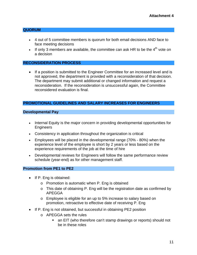#### <span id="page-37-0"></span>**QUORUM**

- 4 out of 5 committee members is quorum for both email decisions AND face to face meeting decisions
- If only 3 members are available, the committee can ask HR to be the  $4<sup>th</sup>$  vote on a decision

#### <span id="page-37-1"></span>**RECONSIDERATION PROCESS**

• If a position is submitted to the Engineer Committee for an increased level and is not approved, the department is provided with a reconsideration of that decision. The department may submit additional or changed information and request a reconsideration. If the reconsideration is unsuccessful again, the Committee reconsidered evaluation is final.

#### <span id="page-37-2"></span>**PROMOTIONAL GUIDELINES AND SALARY INCREASES FOR ENGINEERS**

#### <span id="page-37-3"></span>**Developmental Pay**

- Internal Equity is the major concern in providing developmental opportunities for **Engineers**
- Consistency in application throughout the organization is critical
- Employees will be placed in the developmental range (70% 80%) when the experience level of the employee is short by 2 years or less based on the experience requirements of the job at the time of hire
- Developmental reviews for Engineers will follow the same performance review schedule (year-end) as for other management staff.

#### <span id="page-37-4"></span>**Promotion from PE1 to PE2**

- $\bullet$  If P. Eng is obtained:
	- o Promotion is automatic when P. Eng is obtained
	- o This date of obtaining P. Eng will be the registration date as confirmed by APEGGA
	- o Employee is eligible for an up to 5% increase to salary based on promotion, retroactive to effective date of receiving P. Eng
- If P. Eng is not obtained, but successful in obtaining PE2 position
	- o APEGGA sets the rules
		- an EIT (who therefore can't stamp drawings or reports) should not be in these roles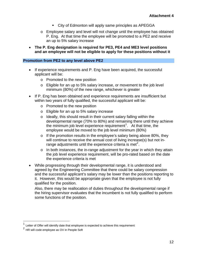- City of Edmonton will apply same principles as APEGGA
- o Employee salary and level will not change until the employee has obtained P. Eng. At that time the employee will be promoted to a PE2 and receive an up to 5% salary increase
- **The P. Eng designation is required for PE3, PE4 and ME3 level positions and an employee will not be eligible to apply for these positions without it**

#### <span id="page-38-0"></span>**Promotion from PE2 to any level above PE2**

- If experience requirements and P. Eng have been acquired, the successful applicant will be:
	- o Promoted to the new position
	- o Eligible for an up to 5% salary increase, or movement to the job level minimum (80%) of the new range, whichever is greater
- If P. Eng has been obtained and experience requirements are insufficient but within two years of fully qualified, the successful applicant will be:
	- o Promoted to the new position
	- o Eligible for an up to 5% salary increase
	- o Ideally, this should result in their current salary falling within the developmental range (70% to 80%) and remaining there until they achieve the minimum job level experience requirement<sup>[1](#page-38-1)</sup>. At that time, the employee would be moved to the job level minimum (80%)
	- o If the promotion results in the employee's salary being above 80%, they will continue to receive the annual cost of living increase(s) but not in-range adjustments until the experience criteria is met<sup>[2](#page-38-2)</sup>.
	- o In both instances, the in-range adjustment for the year in which they attain the job level experience requirement, will be pro-rated based on the date the experience criteria is met
- While progressing through their developmental range, it is understood and agreed by the Engineering Committee that there could be salary compression and the successful applicant's salary may be lower than the positions reporting to it. However, this would be appropriate given that the employee is not fully qualified for the position.

Also, there may be reallocation of duties throughout the developmental range if the hiring supervisor evaluates that the incumbent is not fully qualified to perform some functions of the position.

 $\overline{a}$ 

<span id="page-38-1"></span>Letter of Offer will identify date that employee is expected to achieve this requirement

<span id="page-38-2"></span><sup>&</sup>lt;sup>2</sup> HR will code employee as OV in People Soft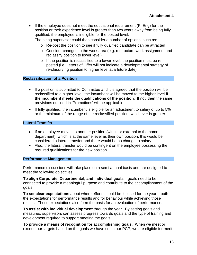• If the employee does not meet the educational requirement (P. Eng) for the position or their experience level is greater than two years away from being fully qualified, the employee is ineligible for the posted level.

The hiring supervisor could then consider a number of options, such as:

- o Re-post the position to see if fully qualified candidate can be attracted
- o Consider changes to the work area (e.g. restructure work assignment and reclassify position to lower level)
- o If the position is reclassified to a lower level, the position must be reposted (i.e. Letters of Offer will not indicate a developmental strategy of re-classifying position to higher level at a future date)

#### <span id="page-39-0"></span>**Reclassification of a Position**

- If a position is submitted to Committee and it is agreed that the position will be reclassified to a higher level, the incumbent will be moved to the higher level **if the incumbent meets the qualifications of the position**. If not, then the same provisions outlined in 'Promotions' will be applicable.
- If fully qualified, the incumbent is eligible for an adjustment to salary of up to 5% or the minimum of the range of the reclassified position, whichever is greater.

#### <span id="page-39-1"></span>**Lateral Transfer**

- If an employee moves to another position (within or external to the home department), which is at the same level as their own position, this would be considered a lateral transfer and there would be no change to salary.
- Also, the lateral transfer would be contingent on the employee possessing the required qualifications for the new position.

#### <span id="page-39-2"></span>**Performance Management**

Performance discussions will take place on a semi annual basis and are designed to meet the following objectives:

**To align Corporate, Departmental, and Individual goals** – goals need to be connected to provide a meaningful purpose and contribute to the accomplishment of the goals.

**To set clear expectations** about where efforts should be focused for the year – both the expectations for performance results and for behaviour while achieving those results. These expectations also form the basis for an evaluation of performance.

**To assist with individual development** through the year. By setting goals and measures, supervisors can assess progress towards goals and the type of training and development required to support meeting the goals.

**To provide a means of recognition for accomplishing goals**. When we meet or exceed our targets based on the goals we have set in our PCP, we are eligible for merit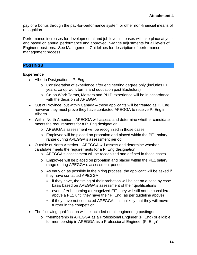pay or a bonus through the pay-for-performance system or other non-financial means of recognition.

Performance increases for developmental and job level increases will take place at year end based on annual performance and approved in-range adjustments for all levels of Engineer positions. See Management Guidelines for description of performance management process.

#### <span id="page-40-0"></span>**POSTINGS**

#### **Experience**

- Alberta Designation  $P$ . Eng
	- o Consideration of experience after engineering degree only (includes EIT years, co-op work terms and education past Bachelors)
	- o Co-op Work Terms, Masters and PH.D experience will be in accordance with the decision of APEGGA
- Out of Province, but within Canada these applicants will be treated as P. Eng however they must prove they have contacted APEGGA to receive P. Eng in Alberta.
- Within North America APEGGA will assess and determine whether candidate meets the requirements for a P. Eng designation
	- o APEGGA's assessment will be recognized in those cases
	- o Employee will be placed on probation and placed within the PE1 salary range during APEGGA's assessment period
- Outside of North America APEGGA will assess and determine whether candidate meets the requirements for a P. Eng designation
	- o APEGGA's assessment will be recognized and defined in those cases
	- o Employee will be placed on probation and placed within the PE1 salary range during APEGGA's assessment period
	- o As early on as possible in the hiring process, the applicant will be asked if they have contacted APEGGA
		- $\blacksquare$  if they have, the timing of their probation will be set on a case by case basis based on APEGGA's assessment of their qualifications
		- even after becoming a recognized EIT, they will still not be considered above a PE1 until they have their P. Eng (as per guideline above)
		- **F** if they have not contacted APEGGA, it is unlikely that they will move further in the competition
- The following qualification will be included on all engineering postings:
	- o "Membership in APEGGA as a Professional Engineer (P. Eng) or eligible for membership in APEGGA as a Professional Engineer (P. Eng)"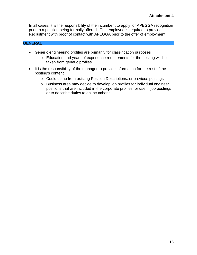In all cases, it is the responsibility of the incumbent to apply for APEGGA recognition prior to a position being formally offered. The employee is required to provide Recruitment with proof of contact with APEGGA prior to the offer of employment.

#### <span id="page-41-0"></span>**GENERAL**

- Generic engineering profiles are primarily for classification purposes
	- o Education and years of experience requirements for the posting will be taken from generic profiles
- It is the responsibility of the manager to provide information for the rest of the posting's content
	- o Could come from existing Position Descriptions, or previous postings
	- o Business area may decide to develop job profiles for individual engineer positions that are included in the corporate profiles for use in job postings or to describe duties to an incumbent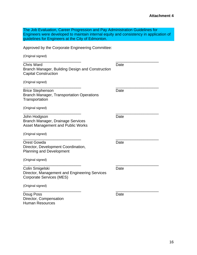| The Job Evaluation, Career Progression and Pay Administration Guidelines for           |
|----------------------------------------------------------------------------------------|
| Engineers were developed to maintain internal equity and consistency in application of |
| guidelines for Engineers at the City of Edmonton.                                      |

Approved by the Corporate Engineering Committee:

(Original signed)

| <b>Chris Ward</b>                                | Date |
|--------------------------------------------------|------|
| Branch Manager, Building Design and Construction |      |
| <b>Capital Construction</b>                      |      |
|                                                  |      |

\_\_\_\_\_\_\_\_\_\_\_\_\_\_\_\_\_\_\_\_\_\_\_\_\_\_\_ \_\_\_\_\_\_\_\_\_\_\_\_\_\_\_\_\_\_\_\_

\_\_\_\_\_\_\_\_\_\_\_\_\_\_\_\_\_\_\_\_\_\_\_\_\_\_\_ \_\_\_\_\_\_\_\_\_\_\_\_\_\_\_\_\_\_\_\_

(Original signed) \_\_\_\_\_\_\_\_\_\_\_\_\_\_\_\_\_\_\_\_\_\_\_\_\_\_\_ \_\_\_\_\_\_\_\_\_\_\_\_\_\_\_\_\_\_\_\_

| <b>Brice Stephenson</b>                   | Date |
|-------------------------------------------|------|
| Branch Manager, Transportation Operations |      |
| Transportation                            |      |

(Original signed)

| John Hodgson                             | Date |
|------------------------------------------|------|
| Branch Manager, Drainage Services        |      |
| <b>Asset Management and Public Works</b> |      |

(Original signed)

 $\overline{\phantom{a}}$  , and the contract of the contract of the contract of the contract of the contract of the contract of the contract of the contract of the contract of the contract of the contract of the contract of the contrac Orest Gowda **Date** Director, Development Coordination, Planning and Development

(Original signed)

| Colin Smigelski                               | Date |
|-----------------------------------------------|------|
| Director, Management and Engineering Services |      |
| Corporate Services (MES)                      |      |

(Original signed)

\_\_\_\_\_\_\_\_\_\_\_\_\_\_\_\_\_\_\_\_\_\_\_\_\_\_\_ \_\_\_\_\_\_\_\_\_\_\_\_\_\_\_\_\_\_\_\_ Doug Poss **Date** Director, Compensation Human Resources